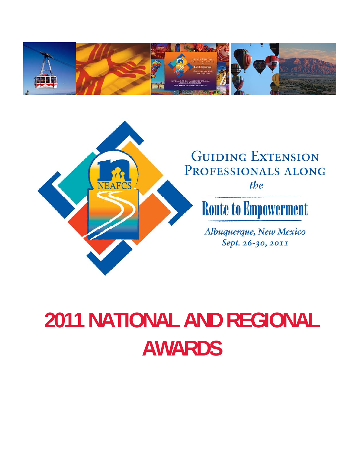



# **2011 NATIONAL AND REGIONAL AWARDS**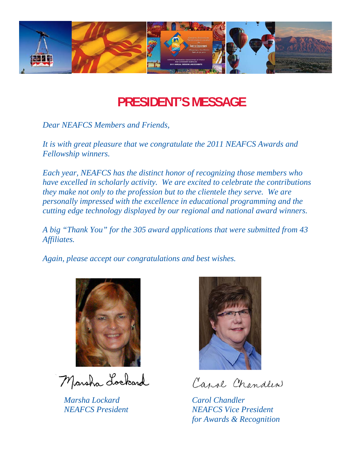

## **PRESIDENT'S MESSAGE**

*Dear NEAFCS Members and Friends,* 

*It is with great pleasure that we congratulate the 2011 NEAFCS Awards and Fellowship winners.* 

*Each year, NEAFCS has the distinct honor of recognizing those members who have excelled in scholarly activity. We are excited to celebrate the contributions they make not only to the profession but to the clientele they serve. We are personally impressed with the excellence in educational programming and the cutting edge technology displayed by our regional and national award winners.* 

*A big "Thank You" for the 305 award applications that were submitted from 43 Affiliates.* 

*Again, please accept our congratulations and best wishes.* 



Marsha Lockard

*Marsha Lockard Carol Chandler* 



Canol Chandler

*NEAFCS President NEAFCS Vice President for Awards & Recognition*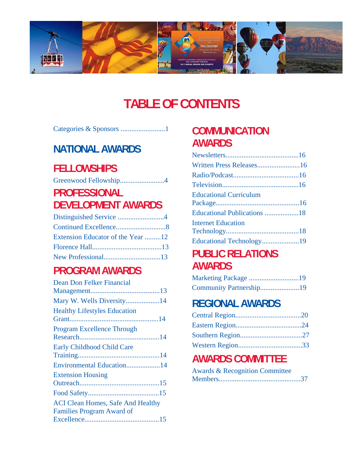

## **TABLE OF CONTENTS**

|--|--|--|--|

## **NATIONAL AWARDS**

## **FELLOWSHIPS**

|--|--|

## **PROFESSIONAL DEVELOPMENT AWARDS**

| Extension Educator of the Year 12 |  |
|-----------------------------------|--|
|                                   |  |
|                                   |  |

## **PROGRAM AWARDS**

| Dean Don Felker Financial                                                    |
|------------------------------------------------------------------------------|
|                                                                              |
| Mary W. Wells Diversity14                                                    |
| <b>Healthy Lifestyles Education</b>                                          |
| <b>Program Excellence Through</b>                                            |
| <b>Early Childhood Child Care</b>                                            |
| Environmental Education14                                                    |
| <b>Extension Housing</b>                                                     |
|                                                                              |
|                                                                              |
| <b>ACI Clean Homes, Safe And Healthy</b><br><b>Families Program Award of</b> |
|                                                                              |

## **COMMUNICATION AWARDS**

| Written Press Releases16      |  |
|-------------------------------|--|
|                               |  |
|                               |  |
| <b>Educational Curriculum</b> |  |
|                               |  |
|                               |  |
| <b>Internet Education</b>     |  |
|                               |  |
| Educational Technology19      |  |
|                               |  |

## **PUBLIC RELATIONS AWARDS**

| Marketing Package 19    |  |
|-------------------------|--|
| Community Partnership19 |  |

## **REGIONAL AWARDS**

## **AWARDS COMMITTEE**

| <b>Awards &amp; Recognition Committee</b> |  |
|-------------------------------------------|--|
|                                           |  |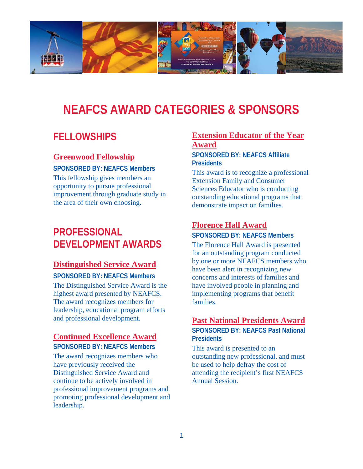

## **NEAFCS AWARD CATEGORIES & SPONSORS**

## **FELLOWSHIPS**

## **Greenwood Fellowship**

**SPONSORED BY: NEAFCS Members**  This fellowship gives members an opportunity to pursue professional improvement through graduate study in the area of their own choosing.

## **PROFESSIONAL DEVELOPMENT AWARDS**

## **Distinguished Service Award**

**SPONSORED BY: NEAFCS Members**  The Distinguished Service Award is the highest award presented by NEAFCS. The award recognizes members for leadership, educational program efforts and professional development.

## **Continued Excellence Award**

## **SPONSORED BY: NEAFCS Members**

The award recognizes members who have previously received the Distinguished Service Award and continue to be actively involved in professional improvement programs and promoting professional development and leadership.

## **Extension Educator of the Year Award**

**SPONSORED BY: NEAFCS Affiliate Presidents** 

This award is to recognize a professional Extension Family and Consumer Sciences Educator who is conducting outstanding educational programs that demonstrate impact on families.

## **Florence Hall Award**

**SPONSORED BY: NEAFCS Members** 

The Florence Hall Award is presented for an outstanding program conducted by one or more NEAFCS members who have been alert in recognizing new concerns and interests of families and have involved people in planning and implementing programs that benefit families.

## **Past National Presidents Award**

**SPONSORED BY: NEAFCS Past National Presidents** 

This award is presented to an outstanding new professional, and must be used to help defray the cost of attending the recipient's first NEAFCS Annual Session.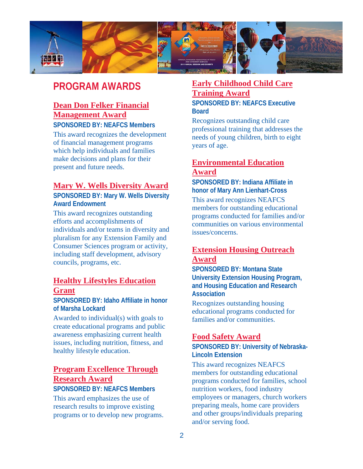

## **PROGRAM AWARDS**

## **Dean Don Felker Financial Management Award**

## **SPONSORED BY: NEAFCS Members**

This award recognizes the development of financial management programs which help individuals and families make decisions and plans for their present and future needs.

## **Mary W. Wells Diversity Award**

**SPONSORED BY: Mary W. Wells Diversity Award Endowment** 

This award recognizes outstanding efforts and accomplishments of individuals and/or teams in diversity and pluralism for any Extension Family and Consumer Sciences program or activity, including staff development, advisory councils, programs, etc.

## **Healthy Lifestyles Education Grant**

**SPONSORED BY: Idaho Affiliate in honor of Marsha Lockard** 

Awarded to individual(s) with goals to create educational programs and public awareness emphasizing current health issues, including nutrition, fitness, and healthy lifestyle education.

## **Program Excellence Through Research Award**

## **SPONSORED BY: NEAFCS Members**

This award emphasizes the use of research results to improve existing programs or to develop new programs.

## **Early Childhood Child Care Training Award**

**SPONSORED BY: NEAFCS Executive Board** 

Recognizes outstanding child care professional training that addresses the needs of young children, birth to eight years of age.

## **Environmental Education Award**

**SPONSORED BY: Indiana Affiliate in honor of Mary Ann Lienhart-Cross** 

This award recognizes NEAFCS members for outstanding educational programs conducted for families and/or communities on various environmental issues/concerns.

## **Extension Housing Outreach Award**

**SPONSORED BY: Montana State University Extension Housing Program, and Housing Education and Research Association** 

Recognizes outstanding housing educational programs conducted for families and/or communities.

## **Food Safety Award**

**SPONSORED BY: University of Nebraska-Lincoln Extension** 

This award recognizes NEAFCS members for outstanding educational programs conducted for families, school nutrition workers, food industry employees or managers, church workers preparing meals, home care providers and other groups/individuals preparing and/or serving food.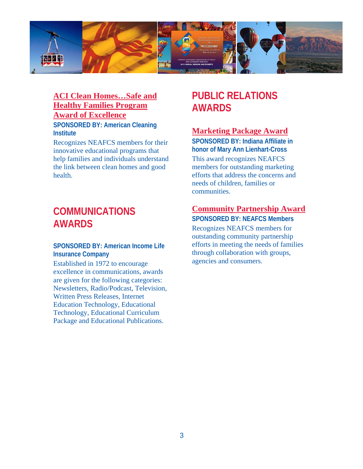

## **ACI Clean Homes…Safe and Healthy Families Program Award of Excellence**

**SPONSORED BY: American Cleaning Institute** 

Recognizes NEAFCS members for their innovative educational programs that help families and individuals understand the link between clean homes and good health.

## **COMMUNICATIONS AWARDS**

## **SPONSORED BY: American Income Life Insurance Company**

Established in 1972 to encourage excellence in communications, awards are given for the following categories: Newsletters, Radio/Podcast, Television, Written Press Releases, Internet Education Technology, Educational Technology, Educational Curriculum Package and Educational Publications.

## **PUBLIC RELATIONS AWARDS**

## **Marketing Package Award**

**SPONSORED BY: Indiana Affiliate in honor of Mary Ann Lienhart-Cross**  This award recognizes NEAFCS members for outstanding marketing efforts that address the concerns and needs of children, families or communities.

## **Community Partnership Award**

**SPONSORED BY: NEAFCS Members**  Recognizes NEAFCS members for outstanding community partnership efforts in meeting the needs of families through collaboration with groups, agencies and consumers.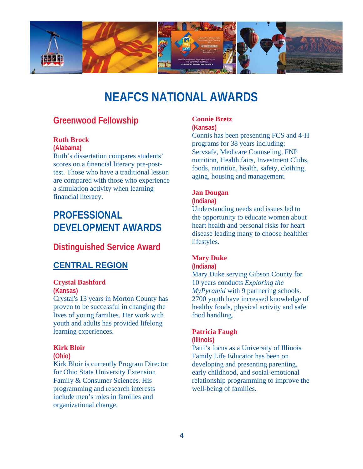

## **NEAFCS NATIONAL AWARDS**

## **Greenwood Fellowship**

### **Ruth Brock**

**(Alabama)** 

Ruth's dissertation compares students' scores on a financial literacy pre-posttest. Those who have a traditional lesson are compared with those who experience a simulation activity when learning financial literacy.

## **PROFESSIONAL DEVELOPMENT AWARDS**

## **Distinguished Service Award**

## **CENTRAL REGION**

#### **Crystal Bashford**

**(Kansas)** 

Crystal's 13 years in Morton County has proven to be successful in changing the lives of young families. Her work with youth and adults has provided lifelong learning experiences.

#### **Kirk Bloir**

**(Ohio)** 

Kirk Bloir is currently Program Director for Ohio State University Extension Family & Consumer Sciences. His programming and research interests include men's roles in families and organizational change.

## **Connie Bretz**

**(Kansas)** 

Connis has been presenting FCS and 4-H programs for 38 years including: Servsafe, Medicare Counseling, FNP nutrition, Health fairs, Investment Clubs, foods, nutrition, health, safety, clothing, aging, housing and management.

#### **Jan Dougan**

#### **(Indiana)**

Understanding needs and issues led to the opportunity to educate women about heart health and personal risks for heart disease leading many to choose healthier lifestyles.

#### **Mary Duke**

**(Indiana)** 

Mary Duke serving Gibson County for 10 years conducts *Exploring the MyPyramid* with 9 partnering schools. 2700 youth have increased knowledge of healthy foods, physical activity and safe food handling.

## **Patricia Faugh**

**(Illinois)** 

Patti's focus as a University of Illinois Family Life Educator has been on developing and presenting parenting, early childhood, and social-emotional relationship programming to improve the well-being of families.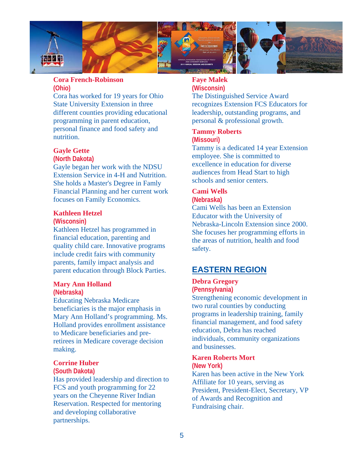

### **Cora French-Robinson (Ohio)**

Cora has worked for 19 years for Ohio State University Extension in three different counties providing educational programming in parent education, personal finance and food safety and nutrition.

### **Gayle Gette**

#### **(North Dakota)**

Gayle began her work with the NDSU Extension Service in 4-H and Nutrition. She holds a Master's Degree in Famly Financial Planning and her current work focuses on Family Economics.

#### **Kathleen Hetzel**

#### **(Wisconsin)**

Kathleen Hetzel has programmed in financial education, parenting and quality child care. Innovative programs include credit fairs with community parents, family impact analysis and parent education through Block Parties.

## **Mary Ann Holland**

#### **(Nebraska)**

Educating Nebraska Medicare beneficiaries is the major emphasis in Mary Ann Holland's programming. Ms. Holland provides enrollment assistance to Medicare beneficiaries and preretirees in Medicare coverage decision making.

### **Corrine Huber**

#### **(South Dakota)**

Has provided leadership and direction to FCS and youth programming for 22 years on the Cheyenne River Indian Reservation. Respected for mentoring and developing collaborative partnerships.

## **Faye Malek**

**(Wisconsin)**  The Distinguished Service Award recognizes Extension FCS Educators for leadership, outstanding programs, and personal & professional growth.

#### **Tammy Roberts (Missouri)**

Tammy is a dedicated 14 year Extension employee. She is committed to excellence in education for diverse audiences from Head Start to high schools and senior centers.

#### **Cami Wells (Nebraska)**

Cami Wells has been an Extension Educator with the University of Nebraska-Lincoln Extension since 2000. She focuses her programming efforts in

the areas of nutrition, health and food safety.

## **EASTERN REGION**

#### **Debra Gregory (Pennsylvania)**

Strengthening economic development in two rural counties by conducting programs in leadership training, family financial management, and food safety education, Debra has reached individuals, community organizations and businesses.

#### **Karen Roberts Mort (New York)**

Karen has been active in the New York Affiliate for 10 years, serving as President, President-Elect, Secretary, VP of Awards and Recognition and Fundraising chair.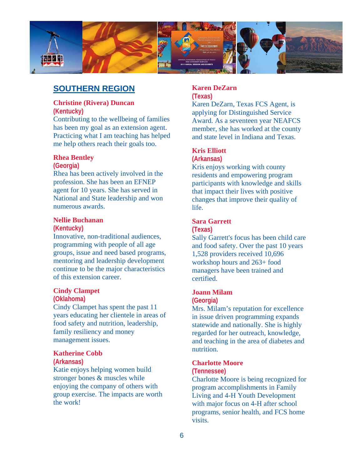

## **SOUTHERN REGION**

#### **Christine (Rivera) Duncan (Kentucky)**

Contributing to the wellbeing of families has been my goal as an extension agent. Practicing what I am teaching has helped me help others reach their goals too.

### **Rhea Bentley**

#### **(Georgia)**

Rhea has been actively involved in the profession. She has been an EFNEP agent for 10 years. She has served in National and State leadership and won numerous awards.

#### **Nellie Buchanan**

#### **(Kentucky)**

Innovative, non-traditional audiences, programming with people of all age groups, issue and need based programs, mentoring and leadership development continue to be the major characteristics of this extension career.

#### **Cindy Clampet**

#### **(Oklahoma)**

Cindy Clampet has spent the past 11 years educating her clientele in areas of food safety and nutrition, leadership, family resiliency and money management issues.

#### **Katherine Cobb**

#### **(Arkansas)**

Katie enjoys helping women build stronger bones & muscles while enjoying the company of others with group exercise. The impacts are worth the work!

## **Karen DeZarn**

**(Texas)** 

Karen DeZarn, Texas FCS Agent, is applying for Distinguished Service Award. As a seventeen year NEAFCS member, she has worked at the county and state level in Indiana and Texas.

## **Kris Elliott**

#### **(Arkansas)**

Kris enjoys working with county residents and empowering program participants with knowledge and skills that impact their lives with positive changes that improve their quality of life.

## **Sara Garrett**

#### **(Texas)**

Sally Garrett's focus has been child care and food safety. Over the past 10 years 1,528 providers received 10,696 workshop hours and 263+ food managers have been trained and certified.

#### **Joann Milam**

#### **(Georgia)**

Mrs. Milam's reputation for excellence in issue driven programming expands statewide and nationally. She is highly regarded for her outreach, knowledge, and teaching in the area of diabetes and nutrition.

#### **Charlotte Moore**

#### **(Tennessee)**

Charlotte Moore is being recognized for program accomplishments in Family Living and 4-H Youth Development with major focus on 4-H after school programs, senior health, and FCS home visits.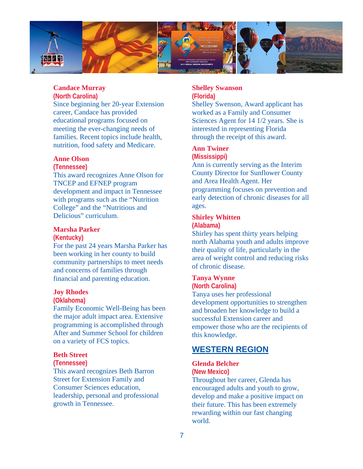

## **Candace Murray**

#### **(North Carolina)**

Since beginning her 20-year Extension career, Candace has provided educational programs focused on meeting the ever-changing needs of families. Recent topics include health, nutrition, food safety and Medicare.

### **Anne Olson**

#### **(Tennessee)**

This award recognizes Anne Olson for TNCEP and EFNEP program development and impact in Tennessee with programs such as the "Nutrition College" and the "Nutritious and Delicious" curriculum.

#### **Marsha Parker (Kentucky)**

For the past 24 years Marsha Parker has been working in her county to build community partnerships to meet needs and concerns of families through financial and parenting education.

#### **Joy Rhodes**

#### **(Oklahoma)**

Family Economic Well-Being has been the major adult impact area. Extensive programming is accomplished through After and Summer School for children on a variety of FCS topics.

#### **Beth Street**

#### **(Tennessee)**

This award recognizes Beth Barron Street for Extension Family and Consumer Sciences education, leadership, personal and professional growth in Tennessee.

#### **Shelley Swanson (Florida)**

Shelley Swenson, Award applicant has worked as a Family and Consumer Sciences Agent for 14 1/2 years. She is interested in representing Florida through the receipt of this award.

#### **Ann Twiner**

#### **(Mississippi)**

Ann is currently serving as the Interim County Director for Sunflower County and Area Health Agent. Her programming focuses on prevention and early detection of chronic diseases for all ages.

## **Shirley Whitten**

#### **(Alabama)**

Shirley has spent thirty years helping north Alabama youth and adults improve their quality of life, particularly in the area of weight control and reducing risks of chronic disease.

#### **Tanya Wynne (North Carolina)**

Tanya uses her professional development opportunities to strengthen and broaden her knowledge to build a successful Extension career and empower those who are the recipients of this knowledge.

## **WESTERN REGION**

#### **Glenda Belcher**

**(New Mexico)** 

Throughout her career, Glenda has encouraged adults and youth to grow, develop and make a positive impact on their future. This has been extremely rewarding within our fast changing world.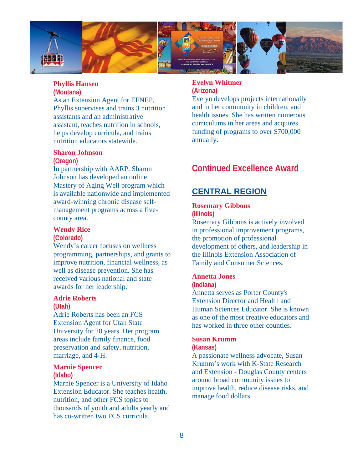

## **Phyllis Hansen**

### **(Montana)**

As an Extension Agent for EFNEP, Phyllis supervises and trains 3 nutrition assistants and an administrative assistant, teaches nutrition in schools, helps develop curricula, and trains nutrition educators statewide.

#### **Sharon Johnson**

#### **(Oregon)**

In partnership with AARP, Sharon Johnson has developed an online Mastery of Aging Well program which is available nationwide and implemented award-winning chronic disease selfmanagement programs across a fivecounty area.

#### **Wendy Rice**

#### **(Colorado)**

Wendy's career focuses on wellness programming, partnerships, and grants to improve nutrition, financial wellness, as well as disease prevention. She has received various national and state awards for her leadership.

#### **Adrie Roberts**

#### **(Utah)**

Adrie Roberts has been an FCS Extension Agent for Utah State University for 20 years. Her program areas include family finance, food preservation and safety, nutrition, marriage, and 4-H.

## **Marnie Spencer**

## **(Idaho)**

Marnie Spencer is a University of Idaho Extension Educator. She teaches health, nutrition, and other FCS topics to thousands of youth and adults yearly and has co-written two FCS curricula.

#### **Evelyn Whitmer (Arizona)**

Evelyn develops projects internationally and in her community in children, and health issues. She has written numerous curriculums in her areas and acquires funding of programs to over \$700,000 annually.

## **Continued Excellence Award**

## **CENTRAL REGION**

#### **Rosemary Gibbons (Illinois)**

Rosemary Gibbons is actively involved in professional improvement programs, the promotion of professional development of others, and leadership in the Illinois Extension Association of Family and Consumer Sciences.

## **Annetta Jones**

#### **(Indiana)**

Annetta serves as Porter County's Extension Director and Health and Human Sciences Educator. She is known as one of the most creative educators and has worked in three other counties.

#### **Susan Krumm**

#### **(Kansas)**

A passionate wellness advocate, Susan Krumm's work with K-State Research and Extension - Douglas County centers around broad community issues to improve health, reduce disease risks, and manage food dollars.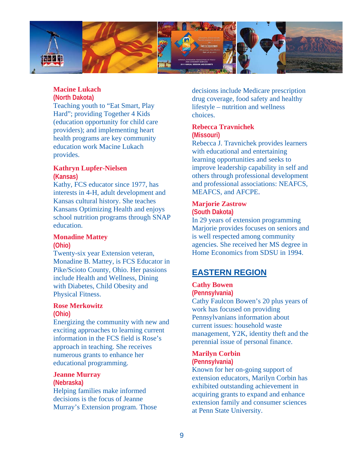

## **Macine Lukach**

#### **(North Dakota)**

Teaching youth to "Eat Smart, Play Hard"; providing Together 4 Kids (education opportunity for child care providers); and implementing heart health programs are key community education work Macine Lukach provides.

## **Kathryn Lupfer-Nielsen**

**(Kansas)** 

Kathy, FCS educator since 1977, has interests in 4-H, adult development and Kansas cultural history. She teaches Kansans Optimizing Health and enjoys school nutrition programs through SNAP education.

## **Monadine Mattey**

**(Ohio)** 

Twenty-six year Extension veteran, Monadine B. Mattey, is FCS Educator in Pike/Scioto County, Ohio. Her passions include Health and Wellness, Dining with Diabetes, Child Obesity and Physical Fitness.

#### **Rose Merkowitz (Ohio)**

Energizing the community with new and exciting approaches to learning current information in the FCS field is Rose's approach in teaching. She receives numerous grants to enhance her educational programming.

#### **Jeanne Murray**

**(Nebraska)**  Helping families make informed decisions is the focus of Jeanne Murray's Extension program. Those

decisions include Medicare prescription drug coverage, food safety and healthy lifestyle – nutrition and wellness choices.

#### **Rebecca Travnichek (Missouri)**

Rebecca J. Travnichek provides learners with educational and entertaining learning opportunities and seeks to improve leadership capability in self and others through professional development and professional associations: NEAFCS, MEAFCS, and AFCPE.

#### **Marjorie Zastrow (South Dakota)**

In 29 years of extension programming Marjorie provides focuses on seniors and is well respected among community agencies. She received her MS degree in Home Economics from SDSU in 1994.

## **EASTERN REGION**

#### **Cathy Bowen**

**(Pennsylvania)** 

Cathy Faulcon Bowen's 20 plus years of work has focused on providing Pennsylvanians information about current issues: household waste management, Y2K, identity theft and the perennial issue of personal finance.

#### **Marilyn Corbin**

### **(Pennsylvania)**

Known for her on-going support of extension educators, Marilyn Corbin has exhibited outstanding achievement in acquiring grants to expand and enhance extension family and consumer sciences at Penn State University.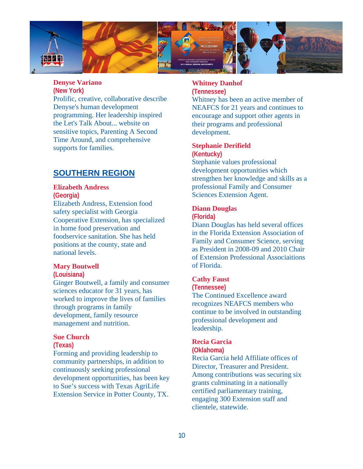

### **Denyse Variano**

#### **(New York)**

Prolific, creative, collaborative describe Denyse's human development programming. Her leadership inspired the Let's Talk About... website on sensitive topics, Parenting A Second Time Around, and comprehensive supports for families.

## **SOUTHERN REGION**

#### **Elizabeth Andress**

**(Georgia)** 

Elizabeth Andress, Extension food safety specialist with Georgia Cooperative Extension, has specialized in home food preservation and foodservice sanitation. She has held positions at the county, state and national levels.

#### **Mary Boutwell**

#### **(Louisiana)**

Ginger Boutwell, a family and consumer sciences educator for 31 years, has worked to improve the lives of families through programs in family development, family resource management and nutrition.

#### **Sue Church**

#### **(Texas)**

Forming and providing leadership to community partnerships, in addition to continuously seeking professional development opportunities, has been key to Sue's success with Texas AgriLife Extension Service in Potter County, TX.

#### **Whitney Danhof (Tennessee)**

Whitney has been an active member of NEAFCS for 21 years and continues to encourage and support other agents in their programs and professional development.

#### **Stephanie Derifield (Kentucky)**

Stephanie values professional development opportunities which strengthen her knowledge and skills as a professional Family and Consumer Sciences Extension Agent.

### **Diann Douglas**

#### **(Florida)**

Diann Douglas has held several offices in the Florida Extension Association of Family and Consumer Science, serving as President in 2008-09 and 2010 Chair of Extension Professional Associaitions of Florida.

#### **Cathy Faust**

#### **(Tennessee)**

The Continued Excellence award recognizes NEAFCS members who continue to be involved in outstanding professional development and leadership.

## **Recia Garcia**

#### **(Oklahoma)**

Recia Garcia held Affiliate offices of Director, Treasurer and President. Among contributions was securing six grants culminating in a nationally certified parliamentary training, engaging 300 Extension staff and clientele, statewide.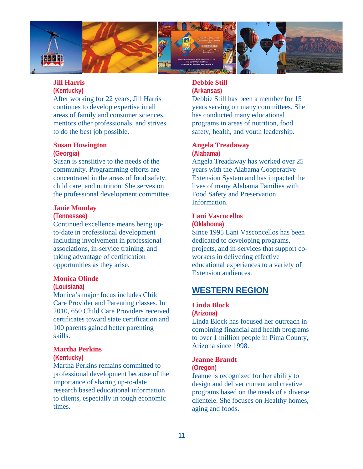

## **Jill Harris**

**(Kentucky)** 

After working for 22 years, Jill Harris continues to develop expertise in all areas of family and consumer sciences, mentors other professionals, and strives to do the best job possible.

#### **Susan Howington**

#### **(Georgia)**

Susan is sensiitive to the needs of the community. Programming efforts are concentrated in the areas of food safety, child care, and nutrition. She serves on the professional development committee.

#### **Janie Monday**

#### **(Tennessee)**

Continued excellence means being upto-date in professional development including involvement in professional associations, in-service training, and taking advantage of certification opportunities as they arise.

#### **Monica Olinde**

#### **(Louisiana)**

Monica's major focus includes Child Care Provider and Parenting classes. In 2010, 650 Child Care Providers received certificates toward state certification and 100 parents gained better parenting skills.

#### **Martha Perkins**

### **(Kentucky)**

Martha Perkins remains committed to professional development because of the importance of sharing up-to-date research based educational information to clients, especially in tough economic times.

#### **Debbie Still (Arkansas)**

Debbie Still has been a member for 15 years serving on many committees. She has conducted many educational programs in areas of nutrition, food safety, health, and youth leadership.

#### **Angela Treadaway (Alabama)**

Angela Treadaway has worked over 25 years with the Alabama Cooperative Extension System and has impacted the lives of many Alabama Families with Food Safety and Preservation Information.

## **Lani Vascocellos**

**(Oklahoma)**  Since 1995 Lani Vasconcellos has been dedicated to developing programs,

projects, and in-services that support coworkers in delivering effective educational experiences to a variety of Extension audiences.

## **WESTERN REGION**

## **Linda Block**

#### **(Arizona)**

Linda Block has focused her outreach in combining financial and health programs to over 1 million people in Pima County, Arizona since 1998.

#### **Jeanne Brandt (Oregon)**

Jeanne is recognized for her ability to design and deliver current and creative programs based on the needs of a diverse clientele. She focuses on Healthy homes, aging and foods.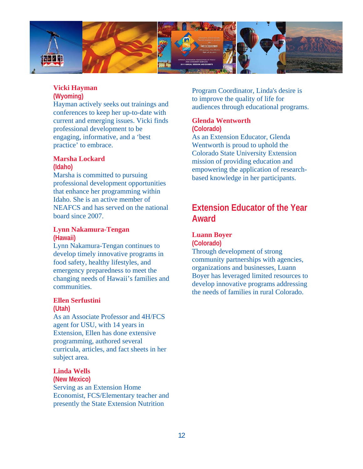

## **Vicki Hayman**

### **(Wyoming)**

Hayman actively seeks out trainings and conferences to keep her up-to-date with current and emerging issues. Vicki finds professional development to be engaging, informative, and a 'best practice' to embrace.

#### **Marsha Lockard (Idaho)**

Marsha is committed to pursuing professional development opportunities that enhance her programming within Idaho. She is an active member of NEAFCS and has served on the national board since 2007.

#### **Lynn Nakamura-Tengan (Hawaii)**

Lynn Nakamura-Tengan continues to develop timely innovative programs in food safety, healthy lifestyles, and emergency preparedness to meet the changing needs of Hawaii's families and communities.

## **Ellen Serfustini**

#### **(Utah)**

As an Associate Professor and 4H/FCS agent for USU, with 14 years in Extension, Ellen has done extensive programming, authored several curricula, articles, and fact sheets in her subject area.

## **Linda Wells**

**(New Mexico)**  Serving as an Extension Home Economist, FCS/Elementary teacher and presently the State Extension Nutrition

Program Coordinator, Linda's desire is to improve the quality of life for audiences through educational programs.

#### **Glenda Wentworth (Colorado)**

As an Extension Educator, Glenda Wentworth is proud to uphold the Colorado State University Extension mission of providing education and empowering the application of researchbased knowledge in her participants.

## **Extension Educator of the Year Award**

## **Luann Boyer**

**(Colorado)** 

Through development of strong community partnerships with agencies, organizations and businesses, Luann Boyer has leveraged limited resources to develop innovative programs addressing the needs of families in rural Colorado.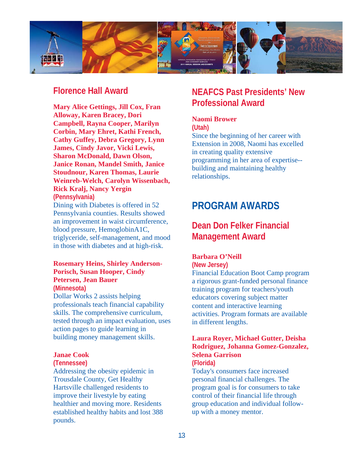

## **Florence Hall Award**

**Mary Alice Gettings, Jill Cox, Fran Alloway, Karen Bracey, Dori Campbell, Rayna Cooper, Marilyn Corbin, Mary Ehret, Kathi French, Cathy Guffey, Debra Gregory, Lynn James, Cindy Javor, Vicki Lewis, Sharon McDonald, Dawn Olson, Janice Ronan, Mandel Smith, Janice Stoudnour, Karen Thomas, Laurie Weinreb-Welch, Carolyn Wissenbach, Rick Kralj, Nancy Yergin (Pennsylvania)** 

Dining with Diabetes is offered in 52 Pennsylvania counties. Results showed an improvement in waist circumference, blood pressure, HemoglobinA1C, triglyceride, self-management, and mood in those with diabetes and at high-risk.

#### **Rosemary Heins, Shirley Anderson-Porisch, Susan Hooper, Cindy Petersen, Jean Bauer (Minnesota)**

Dollar Works 2 assists helping professionals teach financial capability skills. The comprehensive curriculum, tested through an impact evaluation, uses action pages to guide learning in building money management skills.

#### **Janae Cook**

#### **(Tennessee)**

Addressing the obesity epidemic in Trousdale County, Get Healthy Hartsville challenged residents to improve their livestyle by eating healthier and moving more. Residents established healthy habits and lost 388 pounds.

## **NEAFCS Past Presidents' New Professional Award**

## **Naomi Brower**

**(Utah)** 

Since the beginning of her career with Extension in 2008, Naomi has excelled in creating quality extensive programming in her area of expertise- building and maintaining healthy relationships.

## **PROGRAM AWARDS**

## **Dean Don Felker Financial Management Award**

#### **Barbara O'Neill**

**(New Jersey)** 

Financial Education Boot Camp program a rigorous grant-funded personal finance training program for teachers/youth educators covering subject matter content and interactive learning activities. Program formats are available in different lengths.

## **Laura Royer, Michael Gutter, Deisha Rodriguez, Johanna Gomez-Gonzalez, Selena Garrison**

**(Florida)** 

Today's consumers face increased personal financial challenges. The program goal is for consumers to take control of their financial life through group education and individual followup with a money mentor.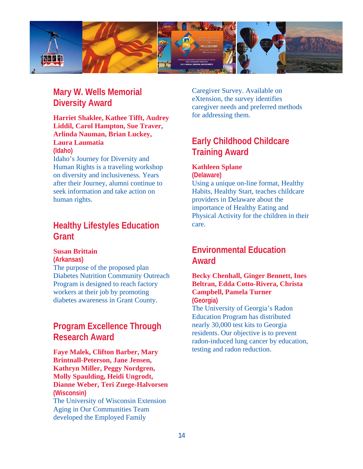

## **Mary W. Wells Memorial Diversity Award**

#### **Harriet Shaklee, Kathee Tifft, Audrey Liddil, Carol Hampton, Sue Traver, Arlinda Nauman, Brian Luckey, Laura Laumatia (Idaho)**

Idaho's Journey for Diversity and Human Rights is a traveling workshop on diversity and inclusiveness. Years after their Journey, alumni continue to seek information and take action on human rights.

## **Healthy Lifestyles Education Grant**

#### **Susan Brittain**

**(Arkansas)** 

The purpose of the proposed plan Diabetes Nutrition Community Outreach Program is designed to reach factory workers at their job by promoting diabetes awareness in Grant County.

## **Program Excellence Through Research Award**

**Faye Malek, Clifton Barber, Mary Brintnall-Peterson, Jane Jensen, Kathryn Miller, Peggy Nordgren, Molly Spaulding, Heidi Ungrodt, Dianne Weber, Teri Zuege-Halvorsen (Wisconsin)**  The University of Wisconsin Extension Aging in Our Communities Team developed the Employed Family

Caregiver Survey. Available on eXtension, the survey identifies caregiver needs and preferred methods for addressing them.

## **Early Childhood Childcare Training Award**

## **Kathleen Splane**

**(Delaware)** 

Using a unique on-line format, Healthy Habits, Healthy Start, teaches childcare providers in Delaware about the importance of Healthy Eating and Physical Activity for the children in their care.

## **Environmental Education Award**

### **Becky Chenhall, Ginger Bennett, Ines Beltran, Edda Cotto-Rivera, Christa Campbell, Pamela Turner (Georgia)**

The University of Georgia's Radon Education Program has distributed nearly 30,000 test kits to Georgia residents. Our objective is to prevent radon-induced lung cancer by education, testing and radon reduction.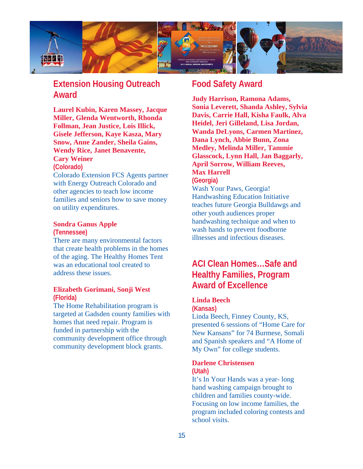

## **Extension Housing Outreach Award**

**Laurel Kubin, Karen Massey, Jacque Miller, Glenda Wentworth, Rhonda Follman, Jean Justice, Lois Illick, Gisele Jefferson, Kaye Kasza, Mary Snow, Anne Zander, Sheila Gains, Wendy Rice, Janet Benavente, Cary Weiner** 

#### **(Colorado)**

Colorado Extension FCS Agents partner with Energy Outreach Colorado and other agencies to teach low income families and seniors how to save money on utility expenditures.

#### **Sondra Ganus Apple**

**(Tennessee)** 

There are many environmental factors that create health problems in the homes of the aging. The Healthy Homes Tent was an educational tool created to address these issues.

#### **Elizabeth Gorimani, Sonji West (Florida)**

The Home Rehabilitation program is targeted at Gadsden county families with homes that need repair. Program is funded in partnership with the community development office through community development block grants.

## **Food Safety Award**

**Judy Harrison, Ramona Adams, Sonia Leverett, Shanda Ashley, Sylvia Davis, Carrie Hall, Kisha Faulk, Alva Heidel, Jeri Gilleland, Lisa Jordan, Wanda DeLyons, Carmen Martinez, Dana Lynch, Abbie Bunn, Zona Medley, Melinda Miller, Tammie Glasscock, Lynn Hall, Jan Baggarly, April Sorrow, William Reeves, Max Harrell** 

#### **(Georgia)**

Wash Your Paws, Georgia! Handwashing Education Initiative teaches future Georgia Bulldawgs and other youth audiences proper handwashing technique and when to wash hands to prevent foodborne illnesses and infectious diseases.

## **ACI Clean Homes…Safe and Healthy Families, Program Award of Excellence**

### **Linda Beech**

**(Kansas)** 

Linda Beech, Finney County, KS, presented 6 sessions of "Home Care for New Kansans" for 74 Burmese, Somali and Spanish speakers and "A Home of My Own" for college students.

## **Darlene Christensen**

**(Utah)**  It's In Your Hands was a year- long hand washing campaign brought to children and families county-wide. Focusing on low income families, the program included coloring contests and school visits.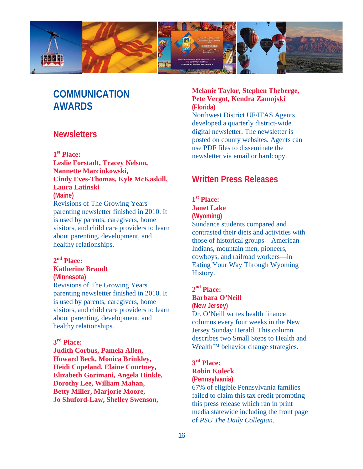

## **COMMUNICATION AWARDS**

## **Newsletters**

### **1st Place:**

**Leslie Forstadt, Tracey Nelson, Nannette Marcinkowski, Cindy Eves-Thomas, Kyle McKaskill, Laura Latinski (Maine)** 

Revisions of The Growing Years parenting newsletter finished in 2010. It is used by parents, caregivers, home visitors, and child care providers to learn about parenting, development, and healthy relationships.

## **2nd Place:**

## **Katherine Brandt**

**(Minnesota)** 

Revisions of The Growing Years parenting newsletter finished in 2010. It is used by parents, caregivers, home visitors, and child care providers to learn about parenting, development, and healthy relationships.

## **3rd Place:**

**Judith Corbus, Pamela Allen, Howard Beck, Monica Brinkley, Heidi Copeland, Elaine Courtney, Elizabeth Gorimani, Angela Hinkle, Dorothy Lee, William Mahan, Betty Miller, Marjorie Moore, Jo Shuford-Law, Shelley Swenson,** 

## **Melanie Taylor, Stephen Theberge, Pete Vergot, Kendra Zamojski (Florida)**

Northwest District UF/IFAS Agents developed a quarterly district-wide digital newsletter. The newsletter is posted on county websites. Agents can use PDF files to disseminate the newsletter via email or hardcopy.

## **Written Press Releases**

## **1st Place:**

### **Janet Lake (Wyoming)**

Sundance students compared and contrasted their diets and activities with those of historical groups—American Indians, mountain men, pioneers, cowboys, and railroad workers—in Eating Your Way Through Wyoming History.

#### **2nd Place: Barbara O'Neill**

## **(New Jersey)**

Dr. O'Neill writes health finance columns every four weeks in the New Jersey Sunday Herald. This column describes two Small Steps to Health and Wealth<sup>™</sup> behavior change strategies.

## **3rd Place: Robin Kuleck**

**(Pennsylvania)** 

67% of eligible Pennsylvania families failed to claim this tax credit prompting this press release which ran in print media statewide including the front page of *PSU The Daily Collegian*.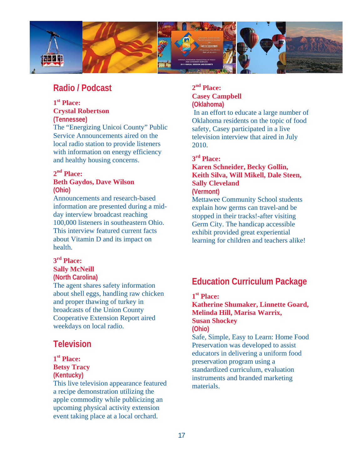

## **Radio / Podcast**

## **1st Place: Crystal Robertson**

**(Tennessee)**  The "Energizing Unicoi County" Public Service Announcements aired on the local radio station to provide listeners with information on energy efficiency

## and healthy housing concerns.

## **2nd Place:**

### **Beth Gaydos, Dave Wilson (Ohio)**

Announcements and research-based information are presented during a midday interview broadcast reaching 100,000 listeners in southeastern Ohio. This interview featured current facts about Vitamin D and its impact on health.

## **3rd Place: Sally McNeill**

#### **(North Carolina)**

The agent shares safety information about shell eggs, handling raw chicken and proper thawing of turkey in broadcasts of the Union County Cooperative Extension Report aired weekdays on local radio.

## **Television**

### **1st Place: Betsy Tracy (Kentucky)**

This live television appearance featured a recipe demonstration utilizing the apple commodity while publicizing an upcoming physical activity extension event taking place at a local orchard.

## **2nd Place: Casey Campbell (Oklahoma)**

In an effort to educate a large number of Oklahoma residents on the topic of food safety, Casey participated in a live television interview that aired in July 2010.

## **3rd Place:**

## **Karen Schneider, Becky Gollin, Keith Silva, Will Mikell, Dale Steen, Sally Cleveland**

## **(Vermont)**

Mettawee Community School students explain how germs can travel-and be stopped in their tracks!-after visiting Germ City. The handicap accessible exhibit provided great experiential learning for children and teachers alike!

## **Education Curriculum Package**

## **1st Place:**

### **Katherine Shumaker, Linnette Goard, Melinda Hill, Marisa Warrix, Susan Shockey (Ohio)**

Safe, Simple, Easy to Learn: Home Food Preservation was developed to assist educators in delivering a uniform food preservation program using a standardized curriculum, evaluation instruments and branded marketing materials.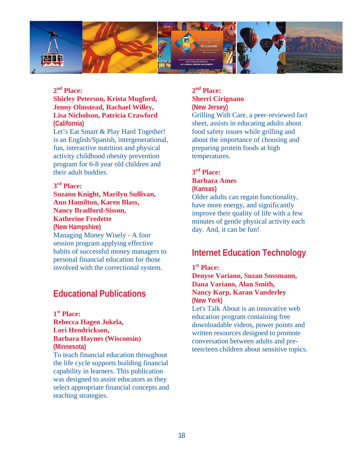

## **2nd Place:**

### **Shirley Peterson, Krista Mugford, Jenny Olmstead, Rachael Willey, Lisa Nicholson, Patricia Crawford (California)**

Let's Eat Smart & Play Hard Together! is an English/Spanish, intergenerational, fun, interactive nutrition and physical activity childhood obesity prevention program for 6-8 year old children and their adult buddies.

### **3rd Place:**

**Suzann Knight, Marilyn Sullivan, Ann Hamilton, Karen Blass, Nancy Bradford-Sisson, Katherine Fredette (New Hampshire)** Managing Money Wisely - A four session program applying effective habits of successful money managers to personal financial education for those involved with the correctional system.

## **Educational Publications**

**1st Place: Rebecca Hagen Jokela, Lori Hendrickson, Barbara Haynes (Wisconsin) (Minnesota)** 

To teach financial education throughout the life cycle supports building financial capability in learners. This publication was designed to assist educators as they select appropriate financial concepts and teaching strategies.

### **2nd Place: Sherri Cirignano (New Jersey)**

Grilling With Care, a peer-reviewed fact sheet, assists in educating adults about food safety issues while grilling and about the importance of choosing and preparing protein foods at high temperatures.

### **3rd Place: Barbara Ames (Kansas)**

Older adults can regain functionality, have more energy, and significantly improve their quality of life with a few minutes of gentle physical activity each day. And, it can be fun!

## **Internet Education Technology**

#### **1st Place:**

**Denyse Variano, Suzan Sussmann, Dana Variano, Alan Smith, Nancy Karp, Karan Vanderley (New York)** 

Let's Talk About is an innovative web education program containing free downloadable videos, power points and written resources designed to promote conversation between adults and preteen/teen children about sensitive topics.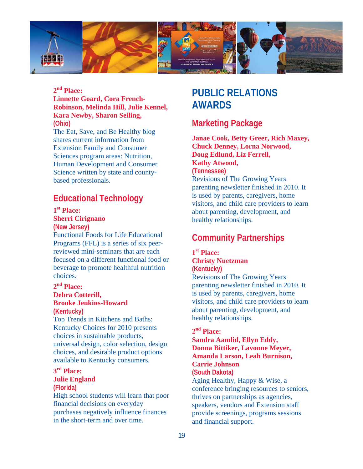

## **2nd Place:**

### **Linnette Goard, Cora French-Robinson, Melinda Hill, Julie Kennel, Kara Newby, Sharon Seiling, (Ohio)**

The Eat, Save, and Be Healthy blog shares current information from Extension Family and Consumer Sciences program areas: Nutrition, Human Development and Consumer Science written by state and countybased professionals.

## **Educational Technology**

## **1st Place:**

## **Sherri Cirignano**

**(New Jersey)** 

Functional Foods for Life Educational Programs (FFL) is a series of six peerreviewed mini-seminars that are each focused on a different functional food or beverage to promote healthful nutrition choices.

## **2nd Place:**

#### **Debra Cotterill, Brooke Jenkins-Howard (Kentucky)**

Top Trends in Kitchens and Baths: Kentucky Choices for 2010 presents choices in sustainable products, universal design, color selection, design choices, and desirable product options available to Kentucky consumers.

## **3rd Place:**

#### **Julie England (Florida)**

High school students will learn that poor financial decisions on everyday purchases negatively influence finances in the short-term and over time.

## **PUBLIC RELATIONS AWARDS**

## **Marketing Package**

**Janae Cook, Betty Greer, Rich Maxey, Chuck Denney, Lorna Norwood, Doug Edlund, Liz Ferrell, Kathy Atwood, (Tennessee)**  Revisions of The Growing Years parenting newsletter finished in 2010. It is used by parents, caregivers, home visitors, and child care providers to learn about parenting, development, and healthy relationships.

## **Community Partnerships**

### **1st Place: Christy Nuetzman (Kentucky)**

Revisions of The Growing Years parenting newsletter finished in 2010. It is used by parents, caregivers, home visitors, and child care providers to learn about parenting, development, and healthy relationships.

## **2nd Place:**

### **Sandra Aamlid, Ellyn Eddy, Donna Bittiker, Lavonne Meyer, Amanda Larson, Leah Burnison, Carrie Johnson (South Dakota)**  Aging Healthy, Happy & Wise, a conference bringing resources to seniors, thrives on partnerships as agencies, speakers, vendors and Extension staff provide screenings, programs sessions and financial support.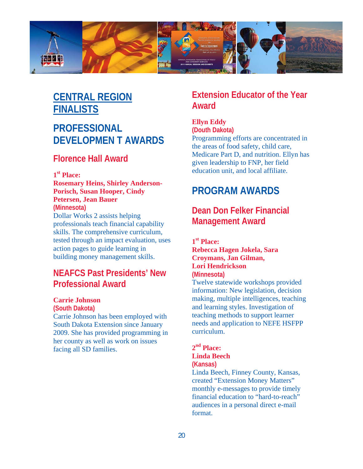

## **CENTRAL REGION FINALISTS**

## **PROFESSIONAL DEVELOPMEN T AWARDS**

## **Florence Hall Award**

## **1st Place:**

**Rosemary Heins, Shirley Anderson-Porisch, Susan Hooper, Cindy Petersen, Jean Bauer (Minnesota)**  Dollar Works 2 assists helping professionals teach financial capability skills. The comprehensive curriculum, tested through an impact evaluation, uses action pages to guide learning in building money management skills.

## **NEAFCS Past Presidents' New Professional Award**

### **Carrie Johnson**

**(South Dakota)** 

Carrie Johnson has been employed with South Dakota Extension since January 2009. She has provided programming in her county as well as work on issues facing all SD families.

## **Extension Educator of the Year Award**

## **Ellyn Eddy**

**(Douth Dakota)** 

Programming efforts are concentrated in the areas of food safety, child care, Medicare Part D, and nutrition. Ellyn has given leadership to FNP, her field education unit, and local affiliate.

## **PROGRAM AWARDS**

## **Dean Don Felker Financial Management Award**

**1st Place: Rebecca Hagen Jokela, Sara Croymans, Jan Gilman, Lori Hendrickson (Minnesota)** 

Twelve statewide workshops provided information: New legislation, decision making, multiple intelligences, teaching and learning styles. Investigation of teaching methods to support learner needs and application to NEFE HSFPP curriculum.

### $2<sup>nd</sup>$  Place: **Linda Beech (Kansas)**

Linda Beech, Finney County, Kansas, created "Extension Money Matters" monthly e-messages to provide timely financial education to "hard-to-reach" audiences in a personal direct e-mail format.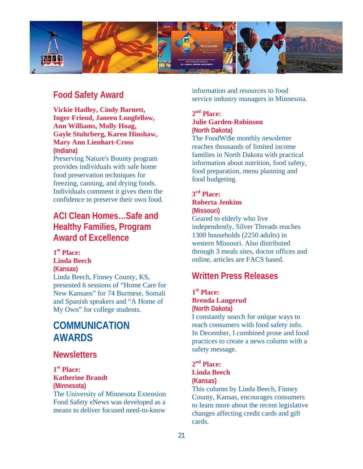

## **Food Safety Award**

**Vickie Hadley, Cindy Barnett, Inger Friend, Janeen Longfellow, Ann Williams, Molly Hoag, Gayle Stuhrberg, Karen Hinshaw, Mary Ann Lienhart-Cross (Indiana)** 

Preserving Nature's Bounty program provides individuals with safe home food preservation techniques for freezing, canning, and drying foods. Individuals comment it gives them the confidence to preserve their own food.

## **ACI Clean Homes…Safe and Healthy Families, Program Award of Excellence**

**1st Place: Linda Beech (Kansas)**  Linda Beech, Finney County, KS, presented 6 sessions of "Home Care for New Kansans" for 74 Burmese, Somali and Spanish speakers and "A Home of My Own" for college students.

## **COMMUNICATION AWARDS**

## **Newsletters**

**1st Place: Katherine Brandt (Minnesota)** 

The University of Minnesota Extension Food Safety eNews was developed as a means to deliver focused need-to-know

information and resources to food service industry managers in Minnesota.

### **2nd Place: Julie Garden-Robinson (North Dakota)**

The FoodWi\$e monthly newsletter reaches thousands of limited income families in North Dakota with practical information about nutrition, food safety, food preparation, menu planning and food budgeting.

## **3rd Place: Roberta Jenkins**

**(Missouri)**  Geared to elderly who live independently, Silver Threads reaches 1300 households (2250 adults) in western Missouri. Also distributed through 3 meals sites, doctor offices and online, articles are FACS based.

## **Written Press Releases**

### **1st Place: Brenda Langerud (North Dakota)**

I constantly search for unique ways to reach consumers with food safety info. In December, I combined prose and food practices to create a news column with a safety message.

### **2nd Place: Linda Beech (Kansas)**

This column by Linda Beech, Finney County, Kansas, encourages consumers to learn more about the recent legislative changes affecting credit cards and gift cards.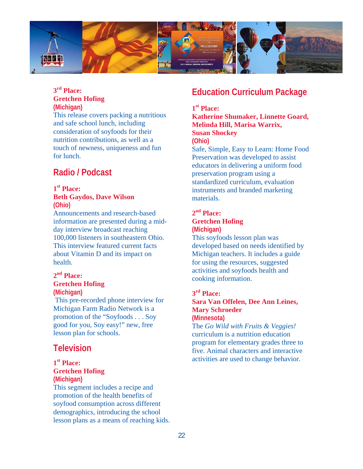

## **3rd Place: Gretchen Hofing (Michigan)**

This release covers packing a nutritious and safe school lunch, including consideration of soyfoods for their nutrition contributions, as well as a touch of newness, uniqueness and fun for lunch.

## **Radio / Podcast**

#### **1st Place: Beth Gaydos, Dave Wilson (Ohio)**

Announcements and research-based information are presented during a midday interview broadcast reaching 100,000 listeners in southeastern Ohio. This interview featured current facts about Vitamin D and its impact on health.

### **2nd Place: Gretchen Hofing (Michigan)**

 This pre-recorded phone interview for Michigan Farm Radio Network is a promotion of the "Soyfoods . . . Soy good for you, Soy easy!" new, free lesson plan for schools.

## **Television**

### **1st Place: Gretchen Hofing (Michigan)**

This segment includes a recipe and promotion of the health benefits of soyfood consumption across different demographics, introducing the school lesson plans as a means of reaching kids.

## **Education Curriculum Package**

## **1st Place:**

**Katherine Shumaker, Linnette Goard, Melinda Hill, Marisa Warrix, Susan Shockey (Ohio)** 

Safe, Simple, Easy to Learn: Home Food Preservation was developed to assist educators in delivering a uniform food preservation program using a standardized curriculum, evaluation instruments and branded marketing materials.

### **2nd Place: Gretchen Hofing (Michigan)**

This soyfoods lesson plan was developed based on needs identified by Michigan teachers. It includes a guide for using the resources, suggested activities and soyfoods health and cooking information.

## **3rd Place:**

## **Sara Van Offelen, Dee Ann Leines, Mary Schroeder (Minnesota)**

The *Go Wild with Fruits & Veggies!*  curriculum is a nutrition education program for elementary grades three to five. Animal characters and interactive activities are used to change behavior.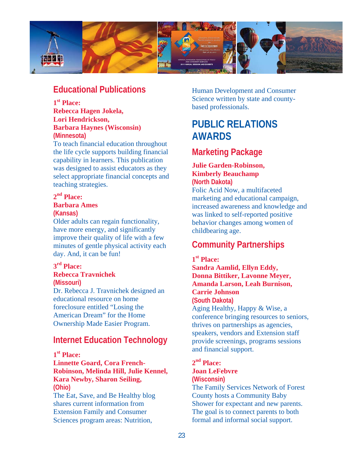

## **Educational Publications**

**1st Place:** 

**Rebecca Hagen Jokela, Lori Hendrickson, Barbara Haynes (Wisconsin) (Minnesota)** 

To teach financial education throughout the life cycle supports building financial capability in learners. This publication was designed to assist educators as they select appropriate financial concepts and teaching strategies.

## **2nd Place: Barbara Ames**

**(Kansas)** 

Older adults can regain functionality, have more energy, and significantly improve their quality of life with a few minutes of gentle physical activity each day. And, it can be fun!

## **3rd Place: Rebecca Travnichek**

**(Missouri)** 

Dr. Rebecca J. Travnichek designed an educational resource on home foreclosure entitled "Losing the American Dream" for the Home Ownership Made Easier Program.

## **Internet Education Technology**

## **1st Place:**

**Linnette Goard, Cora French-Robinson, Melinda Hill, Julie Kennel, Kara Newby, Sharon Seiling, (Ohio)** 

The Eat, Save, and Be Healthy blog shares current information from Extension Family and Consumer Sciences program areas: Nutrition,

Human Development and Consumer Science written by state and countybased professionals.

## **PUBLIC RELATIONS AWARDS**

## **Marketing Package**

## **Julie Garden-Robinson, Kimberly Beauchamp (North Dakota)**

Folic Acid Now, a multifaceted marketing and educational campaign, increased awareness and knowledge and was linked to self-reported positive behavior changes among women of childbearing age.

## **Community Partnerships**

## **1st Place:**

**Sandra Aamlid, Ellyn Eddy, Donna Bittiker, Lavonne Meyer, Amanda Larson, Leah Burnison, Carrie Johnson (South Dakota)**  Aging Healthy, Happy & Wise, a conference bringing resources to seniors, thrives on partnerships as agencies, speakers, vendors and Extension staff provide screenings, programs sessions and financial support.

### **2nd Place: Joan LeFebvre (Wisconsin)**

The Family Services Network of Forest County hosts a Community Baby Shower for expectant and new parents. The goal is to connect parents to both formal and informal social support.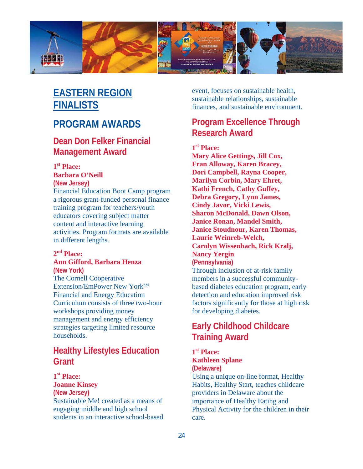

## **EASTERN REGION FINALISTS**

## **PROGRAM AWARDS**

## **Dean Don Felker Financial Management Award**

## **1st Place:**

#### **Barbara O'Neill (New Jersey)**

Financial Education Boot Camp program a rigorous grant-funded personal finance training program for teachers/youth educators covering subject matter content and interactive learning activities. Program formats are available in different lengths.

## **2nd Place:**

#### **Ann Gifford, Barbara Henza (New York)**

The Cornell Cooperative Extension/EmPower New York<sup>SM</sup> Financial and Energy Education Curriculum consists of three two-hour workshops providing money management and energy efficiency strategies targeting limited resource households.

## **Healthy Lifestyles Education Grant**

### **1st Place: Joanne Kinsey (New Jersey)**  Sustainable Me! created as a means of engaging middle and high school students in an interactive school-based

event, focuses on sustainable health, sustainable relationships, sustainable finances, and sustainable environment.

## **Program Excellence Through Research Award**

## **1st Place:**

**Mary Alice Gettings, Jill Cox, Fran Alloway, Karen Bracey, Dori Campbell, Rayna Cooper, Marilyn Corbin, Mary Ehret, Kathi French, Cathy Guffey, Debra Gregory, Lynn James, Cindy Javor, Vicki Lewis, Sharon McDonald, Dawn Olson, Janice Ronan, Mandel Smith, Janice Stoudnour, Karen Thomas, Laurie Weinreb-Welch, Carolyn Wissenbach, Rick Kralj, Nancy Yergin (Pennsylvania)**  Through inclusion of at-risk family members in a successful communitybased diabetes education program, early detection and education improved risk factors significantly for those at high risk for developing diabetes.

## **Early Childhood Childcare Training Award**

## **1st Place: Kathleen Splane (Delaware)**

Using a unique on-line format, Healthy Habits, Healthy Start, teaches childcare providers in Delaware about the importance of Healthy Eating and Physical Activity for the children in their care.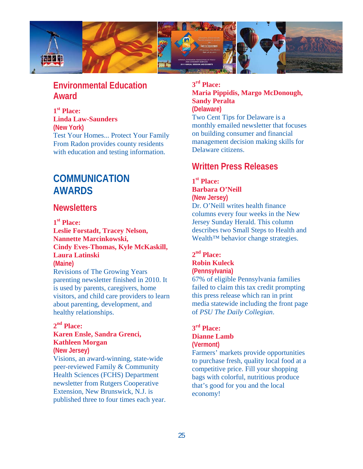

## **Environmental Education Award**

**1st Place: Linda Law-Saunders (New York)**  Test Your Homes... Protect Your Family From Radon provides county residents with education and testing information.

## **COMMUNICATION AWARDS**

## **Newsletters**

**1st Place:** 

**Leslie Forstadt, Tracey Nelson, Nannette Marcinkowski, Cindy Eves-Thomas, Kyle McKaskill, Laura Latinski** 

### **(Maine)**

Revisions of The Growing Years parenting newsletter finished in 2010. It is used by parents, caregivers, home visitors, and child care providers to learn about parenting, development, and healthy relationships.

## **2nd Place:**

## **Karen Ensle, Sandra Grenci, Kathleen Morgan**

**(New Jersey)**  Visions, an award-winning, state-wide peer-reviewed Family & Community Health Sciences (FCHS) Department newsletter from Rutgers Cooperative

Extension, New Brunswick, N.J. is published three to four times each year. **3rd Place: Maria Pippidis, Margo McDonough, Sandy Peralta (Delaware)** 

Two Cent Tips for Delaware is a monthly emailed newsletter that focuses on building consumer and financial management decision making skills for Delaware citizens.

## **Written Press Releases**

**1st Place: Barbara O'Neill (New Jersey)**  Dr. O'Neill writes health finance

columns every four weeks in the New Jersey Sunday Herald. This column describes two Small Steps to Health and Wealth<sup>™</sup> behavior change strategies.

### **2nd Place: Robin Kuleck (Pennsylvania)**

67% of eligible Pennsylvania families failed to claim this tax credit prompting this press release which ran in print media statewide including the front page of *PSU The Daily Collegian*.

### **3rd Place: Dianne Lamb (Vermont)**

Farmers' markets provide opportunities to purchase fresh, quality local food at a competitive price. Fill your shopping bags with colorful, nutritious produce that's good for you and the local economy!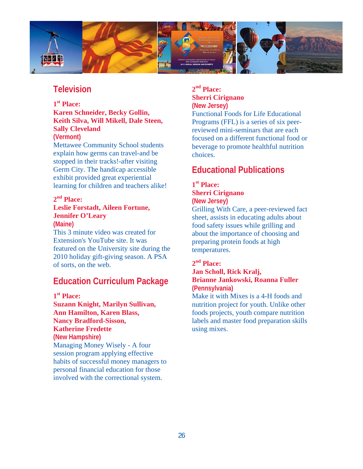

## **Television**

## **1st Place: Karen Schneider, Becky Gollin, Keith Silva, Will Mikell, Dale Steen, Sally Cleveland**

**(Vermont)** 

Mettawee Community School students explain how germs can travel-and be stopped in their tracks!-after visiting Germ City. The handicap accessible exhibit provided great experiential learning for children and teachers alike!

## **2nd Place:**

#### **Leslie Forstadt, Aileen Fortune, Jennifer O'Leary (Maine)**

This 3 minute video was created for Extension's YouTube site. It was featured on the University site during the 2010 holiday gift-giving season. A PSA of sorts, on the web.

## **Education Curriculum Package**

**1st Place:** 

**Suzann Knight, Marilyn Sullivan, Ann Hamilton, Karen Blass, Nancy Bradford-Sisson, Katherine Fredette (New Hampshire)**  Managing Money Wisely - A four session program applying effective habits of successful money managers to personal financial education for those involved with the correctional system.

## **2nd Place: Sherri Cirignano (New Jersey)**

Functional Foods for Life Educational Programs (FFL) is a series of six peerreviewed mini-seminars that are each focused on a different functional food or beverage to promote healthful nutrition choices.

## **Educational Publications**

#### **1st Place: Sherri Cirignano (New Jersey)**

Grilling With Care, a peer-reviewed fact sheet, assists in educating adults about food safety issues while grilling and about the importance of choosing and preparing protein foods at high temperatures.

## **2nd Place:**

## **Jan Scholl, Rick Kralj, Brianne Jankowski, Roanna Fuller (Pennsylvania)**

Make it with Mixes is a 4-H foods and nutrition project for youth. Unlike other foods projects, youth compare nutrition labels and master food preparation skills using mixes.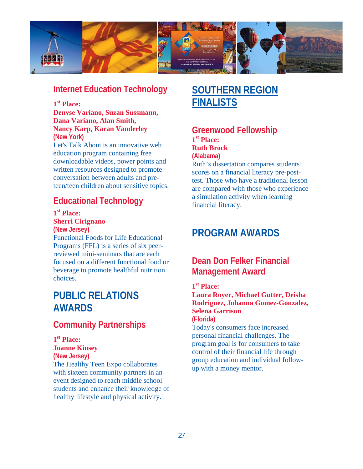

## **Internet Education Technology**

## **1st Place:**

**Denyse Variano, Suzan Sussmann, Dana Variano, Alan Smith, Nancy Karp, Karan Vanderley (New York)** 

Let's Talk About is an innovative web education program containing free downloadable videos, power points and written resources designed to promote conversation between adults and preteen/teen children about sensitive topics.

## **Educational Technology**

**1st Place: Sherri Cirignano (New Jersey)** 

Functional Foods for Life Educational Programs (FFL) is a series of six peerreviewed mini-seminars that are each focused on a different functional food or beverage to promote healthful nutrition choices.

## **PUBLIC RELATIONS AWARDS**

## **Community Partnerships**

## **1st Place:**

**Joanne Kinsey** 

**(New Jersey)**  The Healthy Teen Expo collaborates with sixteen community partners in an event designed to reach middle school students and enhance their knowledge of healthy lifestyle and physical activity.

## **SOUTHERN REGION FINALISTS**

## **Greenwood Fellowship 1st Place: Ruth Brock (Alabama)**

Ruth's dissertation compares students' scores on a financial literacy pre-posttest. Those who have a traditional lesson are compared with those who experience a simulation activity when learning financial literacy.

## **PROGRAM AWARDS**

## **Dean Don Felker Financial Management Award**

## **1st Place:**

**Laura Royer, Michael Gutter, Deisha Rodriguez, Johanna Gomez-Gonzalez, Selena Garrison (Florida)** 

Today's consumers face increased personal financial challenges. The program goal is for consumers to take control of their financial life through group education and individual followup with a money mentor.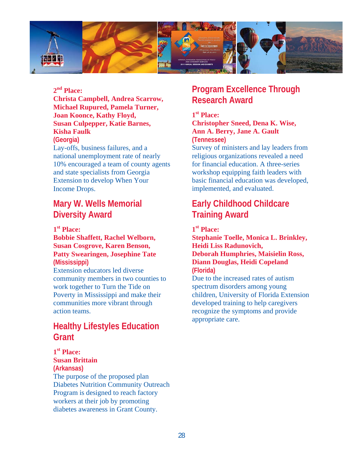

## **2nd Place:**

**Christa Campbell, Andrea Scarrow, Michael Rupured, Pamela Turner, Joan Koonce, Kathy Floyd, Susan Culpepper, Katie Barnes, Kisha Faulk** 

**(Georgia)** 

Lay-offs, business failures, and a national unemployment rate of nearly 10% encouraged a team of county agents and state specialists from Georgia Extension to develop When Your Income Drops.

## **Mary W. Wells Memorial Diversity Award**

## **1st Place:**

## **Bobbie Shaffett, Rachel Welborn, Susan Cosgrove, Karen Benson, Patty Swearingen, Josephine Tate (Mississippi)**

Extension educators led diverse community members in two counties to work together to Turn the Tide on Poverty in Mississippi and make their communities more vibrant through action teams.

## **Healthy Lifestyles Education Grant**

## **1st Place:**

**Susan Brittain (Arkansas)**  The purpose of the proposed plan Diabetes Nutrition Community Outreach Program is designed to reach factory workers at their job by promoting diabetes awareness in Grant County.

## **Program Excellence Through Research Award**

**1st Place: Christopher Sneed, Dena K. Wise, Ann A. Berry, Jane A. Gault (Tennessee)** 

Survey of ministers and lay leaders from religious organizations revealed a need for financial education. A three-series workshop equipping faith leaders with basic financial education was developed, implemented, and evaluated.

## **Early Childhood Childcare Training Award**

**1st Place:** 

**Stephanie Toelle, Monica L. Brinkley, Heidi Liss Radunovich, Deborah Humphries, Maisielin Ross, Diann Douglas, Heidi Copeland (Florida)** 

Due to the increased rates of autism spectrum disorders among young children, University of Florida Extension developed training to help caregivers recognize the symptoms and provide appropriate care.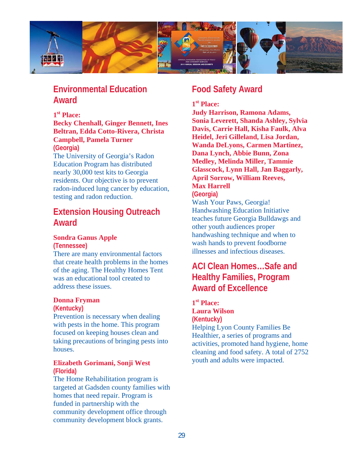

## **Environmental Education Award**

### **1st Place:**

#### **Becky Chenhall, Ginger Bennett, Ines Beltran, Edda Cotto-Rivera, Christa Campbell, Pamela Turner (Georgia)**

The University of Georgia's Radon Education Program has distributed nearly 30,000 test kits to Georgia residents. Our objective is to prevent radon-induced lung cancer by education, testing and radon reduction.

## **Extension Housing Outreach Award**

## **Sondra Ganus Apple**

**(Tennessee)** 

There are many environmental factors that create health problems in the homes of the aging. The Healthy Homes Tent was an educational tool created to address these issues.

#### **Donna Fryman**

#### **(Kentucky)**

Prevention is necessary when dealing with pests in the home. This program focused on keeping houses clean and taking precautions of bringing pests into houses.

### **Elizabeth Gorimani, Sonji West (Florida)**

The Home Rehabilitation program is targeted at Gadsden county families with homes that need repair. Program is funded in partnership with the community development office through community development block grants.

## **Food Safety Award**

## **1st Place:**

**Judy Harrison, Ramona Adams, Sonia Leverett, Shanda Ashley, Sylvia Davis, Carrie Hall, Kisha Faulk, Alva Heidel, Jeri Gilleland, Lisa Jordan, Wanda DeLyons, Carmen Martinez, Dana Lynch, Abbie Bunn, Zona Medley, Melinda Miller, Tammie Glasscock, Lynn Hall, Jan Baggarly, April Sorrow, William Reeves, Max Harrell** 

**(Georgia)** 

Wash Your Paws, Georgia! Handwashing Education Initiative teaches future Georgia Bulldawgs and other youth audiences proper handwashing technique and when to wash hands to prevent foodborne illnesses and infectious diseases.

## **ACI Clean Homes…Safe and Healthy Families, Program Award of Excellence**

### **1st Place: Laura Wilson (Kentucky)**

Helping Lyon County Families Be Healthier, a series of programs and activities, promoted hand hygiene, home cleaning and food safety. A total of 2752 youth and adults were impacted.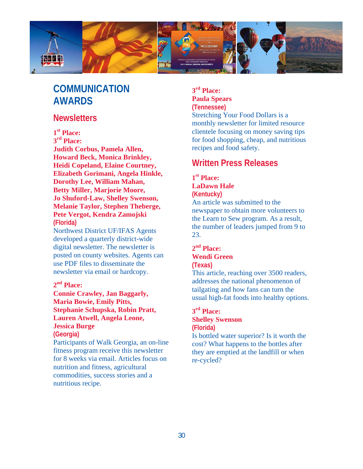

## **COMMUNICATION AWARDS**

## **Newsletters**

## **1st Place:**

**3rd Place:** 

**Judith Corbus, Pamela Allen, Howard Beck, Monica Brinkley, Heidi Copeland, Elaine Courtney, Elizabeth Gorimani, Angela Hinkle, Dorothy Lee, William Mahan, Betty Miller, Marjorie Moore, Jo Shuford-Law, Shelley Swenson, Melanie Taylor, Stephen Theberge, Pete Vergot, Kendra Zamojski (Florida)** 

Northwest District UF/IFAS Agents developed a quarterly district-wide digital newsletter. The newsletter is posted on county websites. Agents can use PDF files to disseminate the newsletter via email or hardcopy.

## **2nd Place:**

**Connie Crawley, Jan Baggarly, Maria Bowie, Emily Pitts, Stephanie Schupska, Robin Pratt, Lauren Atwell, Angela Leone, Jessica Burge** 

**(Georgia)** 

Participants of Walk Georgia, an on-line fitness program receive this newsletter for 8 weeks via email. Articles focus on nutrition and fitness, agricultural commodities, success stories and a nutritious recipe.

## **3rd Place: Paula Spears (Tennessee)**

Stretching Your Food Dollars is a monthly newsletter for limited resource clientele focusing on money saving tips for food shopping, cheap, and nutritious recipes and food safety.

## **Written Press Releases**

## **1st Place: LaDawn Hale (Kentucky)**

An article was submitted to the newspaper to obtain more volunteers to the Learn to Sew program. As a result, the number of leaders jumped from 9 to 23.

### **2nd Place: Wendi Green (Texas)**

This article, reaching over 3500 readers, addresses the national phenomenon of tailgating and how fans can turn the usual high-fat foods into healthy options.

### **3rd Place: Shelley Swenson (Florida)**

Is bottled water superior? Is it worth the cost? What happens to the bottles after they are emptied at the landfill or when re-cycled?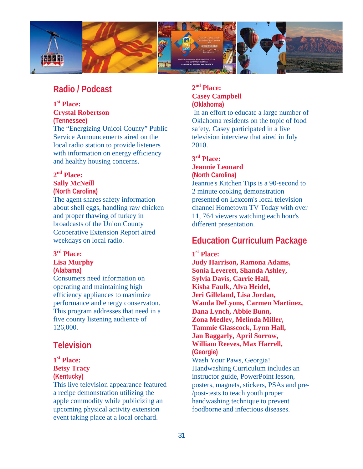

## **Radio / Podcast**

## **1st Place: Crystal Robertson**

**(Tennessee)**  The "Energizing Unicoi County" Public Service Announcements aired on the local radio station to provide listeners with information on energy efficiency and healthy housing concerns.

## **2nd Place:**

#### **Sally McNeill (North Carolina)**

The agent shares safety information about shell eggs, handling raw chicken and proper thawing of turkey in broadcasts of the Union County Cooperative Extension Report aired weekdays on local radio.

## **3rd Place:**

#### **Lisa Murphy (Alabama)**

Consumers need information on operating and maintaining high efficiency appliances to maximize performance and energy conservaton. This program addresses that need in a five county listening audience of 126,000.

## **Television**

### **1st Place: Betsy Tracy (Kentucky)**

This live television appearance featured a recipe demonstration utilizing the apple commodity while publicizing an upcoming physical activity extension event taking place at a local orchard.

## **2nd Place: Casey Campbell (Oklahoma)**

 In an effort to educate a large number of Oklahoma residents on the topic of food safety, Casey participated in a live television interview that aired in July 2010.

## **3rd Place:**

## **Jeannie Leonard**

**(North Carolina)**  Jeannie's Kitchen Tips is a 90-second to 2 minute cooking demonstration presented on Lexcom's local television channel Hometown TV Today with over 11, 764 viewers watching each hour's different presentation.

## **Education Curriculum Package**

## **1st Place: Judy Harrison, Ramona Adams, Sonia Leverett, Shanda Ashley, Sylvia Davis, Carrie Hall, Kisha Faulk, Alva Heidel, Jeri Gilleland, Lisa Jordan, Wanda DeLyons, Carmen Martinez, Dana Lynch, Abbie Bunn, Zona Medley, Melinda Miller, Tammie Glasscock, Lynn Hall, Jan Baggarly, April Sorrow, William Reeves, Max Harrell, (Georgie)**

Wash Your Paws, Georgia! Handwashing Curriculum includes an instructor guide, PowerPoint lesson, posters, magnets, stickers, PSAs and pre- /post-tests to teach youth proper handwashing technique to prevent foodborne and infectious diseases.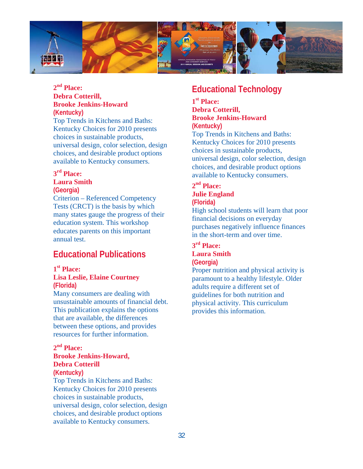

## **2nd Place: Debra Cotterill, Brooke Jenkins-Howard (Kentucky)**

Top Trends in Kitchens and Baths: Kentucky Choices for 2010 presents choices in sustainable products, universal design, color selection, design choices, and desirable product options available to Kentucky consumers.

## **3rd Place:**

## **Laura Smith**

**(Georgia)** 

Criterion – Referenced Competency Tests (CRCT) is the basis by which many states gauge the progress of their education system. This workshop educates parents on this important annual test.

## **Educational Publications**

#### **1st Place:**

### **Lisa Leslie, Elaine Courtney (Florida)**

Many consumers are dealing with unsustainable amounts of financial debt. This publication explains the options that are available, the differences between these options, and provides resources for further information.

### **2nd Place: Brooke Jenkins-Howard,**

## **Debra Cotterill**

**(Kentucky)** 

Top Trends in Kitchens and Baths: Kentucky Choices for 2010 presents choices in sustainable products, universal design, color selection, design choices, and desirable product options available to Kentucky consumers.

## **Educational Technology**

### **1st Place: Debra Cotterill, Brooke Jenkins-Howard (Kentucky)**

Top Trends in Kitchens and Baths: Kentucky Choices for 2010 presents choices in sustainable products, universal design, color selection, design choices, and desirable product options available to Kentucky consumers.

## **2nd Place: Julie England (Florida)**

High school students will learn that poor financial decisions on everyday purchases negatively influence finances in the short-term and over time.

### **3rd Place: Laura Smith (Georgia)**

Proper nutrition and physical activity is paramount to a healthy lifestyle. Older adults require a different set of guidelines for both nutrition and physical activity. This curriculum provides this information.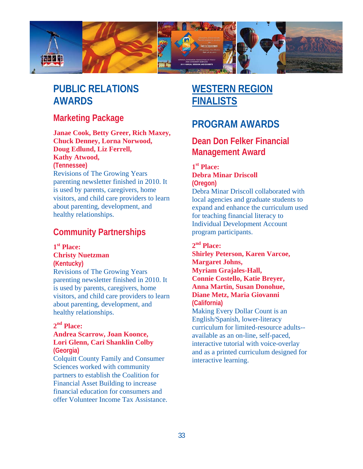

## **PUBLIC RELATIONS AWARDS**

## **Marketing Package**

## **Janae Cook, Betty Greer, Rich Maxey, Chuck Denney, Lorna Norwood, Doug Edlund, Liz Ferrell, Kathy Atwood,**

#### **(Tennessee)**

Revisions of The Growing Years parenting newsletter finished in 2010. It is used by parents, caregivers, home visitors, and child care providers to learn about parenting, development, and healthy relationships.

## **Community Partnerships**

## **1st Place:**

## **Christy Nuetzman**

**(Kentucky)** 

Revisions of The Growing Years parenting newsletter finished in 2010. It is used by parents, caregivers, home visitors, and child care providers to learn about parenting, development, and healthy relationships.

## **2nd Place:**

### **Andrea Scarrow, Joan Koonce, Lori Glenn, Cari Shanklin Colby (Georgia)**

Colquitt County Family and Consumer Sciences worked with community partners to establish the Coalition for Financial Asset Building to increase financial education for consumers and offer Volunteer Income Tax Assistance.

## **WESTERN REGION FINALISTS**

## **PROGRAM AWARDS**

## **Dean Don Felker Financial Management Award**

## **1st Place: Debra Minar Driscoll (Oregon)**

Debra Minar Driscoll collaborated with local agencies and graduate students to expand and enhance the curriculum used for teaching financial literacy to Individual Development Account program participants.

## **2nd Place:**

**Shirley Peterson, Karen Varcoe, Margaret Johns, Myriam Grajales-Hall, Connie Costello, Katie Breyer, Anna Martin, Susan Donohue, Diane Metz, Maria Giovanni (California)**  Making Every Dollar Count is an English/Spanish, lower-literacy curriculum for limited-resource adults- available as an on-line, self-paced, interactive tutorial with voice-overlay and as a printed curriculum designed for interactive learning.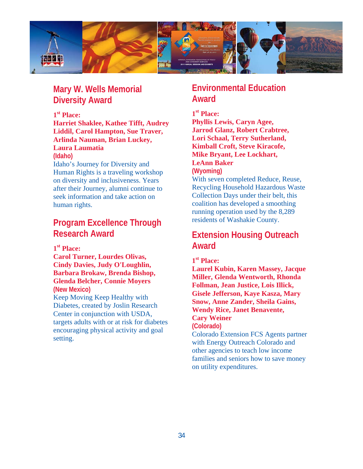

## **Mary W. Wells Memorial Diversity Award**

## **1st Place:**

**Harriet Shaklee, Kathee Tifft, Audrey Liddil, Carol Hampton, Sue Traver, Arlinda Nauman, Brian Luckey, Laura Laumatia (Idaho)** 

## Idaho's Journey for Diversity and Human Rights is a traveling workshop on diversity and inclusiveness. Years after their Journey, alumni continue to seek information and take action on human rights.

## **Program Excellence Through Research Award**

**1st Place:** 

**Carol Turner, Lourdes Olivas, Cindy Davies, Judy O'Loughlin, Barbara Brokaw, Brenda Bishop, Glenda Belcher, Connie Moyers (New Mexico)** Keep Moving Keep Healthy with Diabetes, created by Joslin Research Center in conjunction with USDA, targets adults with or at risk for diabetes encouraging physical activity and goal setting.

## **Environmental Education Award**

## **1st Place:**

**Phyllis Lewis, Caryn Agee, Jarrod Glanz, Robert Crabtree, Lori Schaal, Terry Sutherland, Kimball Croft, Steve Kiracofe, Mike Bryant, Lee Lockhart, LeAnn Baker (Wyoming)** 

With seven completed Reduce, Reuse, Recycling Household Hazardous Waste Collection Days under their belt, this coalition has developed a smoothing running operation used by the 8,289 residents of Washakie County.

## **Extension Housing Outreach Award**

**1st Place:** 

**Laurel Kubin, Karen Massey, Jacque Miller, Glenda Wentworth, Rhonda Follman, Jean Justice, Lois Illick, Gisele Jefferson, Kaye Kasza, Mary Snow, Anne Zander, Sheila Gains, Wendy Rice, Janet Benavente, Cary Weiner** 

**(Colorado)** 

Colorado Extension FCS Agents partner with Energy Outreach Colorado and other agencies to teach low income families and seniors how to save money on utility expenditures.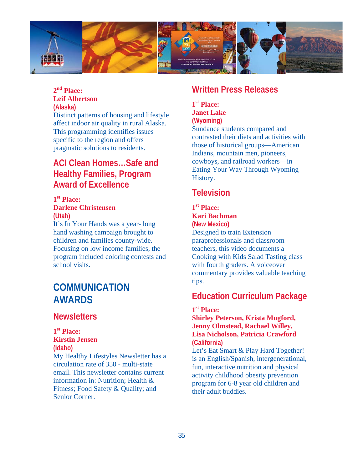

## **2nd Place: Leif Albertson (Alaska)**

Distinct patterns of housing and lifestyle affect indoor air quality in rural Alaska. This programming identifies issues specific to the region and offers pragmatic solutions to residents.

## **ACI Clean Homes…Safe and Healthy Families, Program Award of Excellence**

#### **1st Place: Darlene Christensen (Utah)**

It's In Your Hands was a year- long hand washing campaign brought to children and families county-wide. Focusing on low income families, the program included coloring contests and school visits.

## **COMMUNICATION AWARDS**

## **Newsletters**

### **1st Place: Kirstin Jensen**

**(Idaho)**  My Healthy Lifestyles Newsletter has a circulation rate of 350 - multi-state email. This newsletter contains current information in: Nutrition; Health & Fitness; Food Safety & Quality; and Senior Corner.

## **Written Press Releases**

## **1st Place: Janet Lake (Wyoming)**

Sundance students compared and contrasted their diets and activities with those of historical groups—American Indians, mountain men, pioneers, cowboys, and railroad workers—in Eating Your Way Through Wyoming History.

## **Television**

### **1st Place: Kari Bachman**

**(New Mexico)**  Designed to train Extension paraprofessionals and classroom teachers, this video documents a Cooking with Kids Salad Tasting class with fourth graders. A voiceover commentary provides valuable teaching tips.

## **Education Curriculum Package**

## **1st Place:**

**Shirley Peterson, Krista Mugford, Jenny Olmstead, Rachael Willey, Lisa Nicholson, Patricia Crawford (California)** 

Let's Eat Smart & Play Hard Together! is an English/Spanish, intergenerational, fun, interactive nutrition and physical activity childhood obesity prevention program for 6-8 year old children and their adult buddies.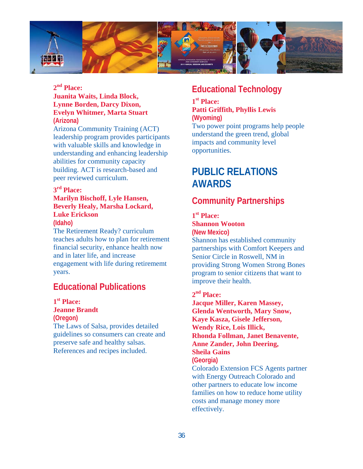

## **2nd Place:**

### **Juanita Waits, Linda Block, Lynne Borden, Darcy Dixon, Evelyn Whitmer, Marta Stuart (Arizona)**

Arizona Community Training (ACT) leadership program provides participants with valuable skills and knowledge in understanding and enhancing leadership abilities for community capacity building. ACT is research-based and peer reviewed curriculum.

#### **3rd Place:**

## **Marilyn Bischoff, Lyle Hansen, Beverly Healy, Marsha Lockard, Luke Erickson**

**(Idaho)** 

The Retirement Ready? curriculum teaches adults how to plan for retirement financial security, enhance health now and in later life, and increase engagement with life during retirememt years.

## **Educational Publications**

**1st Place: Jeanne Brandt (Oregon)** 

The Laws of Salsa, provides detailed guidelines so consumers can create and preserve safe and healthy salsas. References and recipes included.

## **Educational Technology**

#### **1st Place: Patti Griffith, Phyllis Lewis (Wyoming)**

Two power point programs help people understand the green trend, global impacts and community level opportunities.

## **PUBLIC RELATIONS AWARDS**

## **Community Partnerships**

### **1st Place:**

### **Shannon Wooton**

**(New Mexico)**  Shannon has established community partnerships with Comfort Keepers and Senior Circle in Roswell, NM in providing Strong Women Strong Bones program to senior citizens that want to improve their health.

## **2nd Place:**

**Jacque Miller, Karen Massey, Glenda Wentworth, Mary Snow, Kaye Kasza, Gisele Jefferson, Wendy Rice, Lois Illick, Rhonda Follman, Janet Benavente, Anne Zander, John Deering, Sheila Gains (Georgia)**  Colorado Extension FCS Agents partner with Energy Outreach Colorado and other partners to educate low income families on how to reduce home utility costs and manage money more effectively.